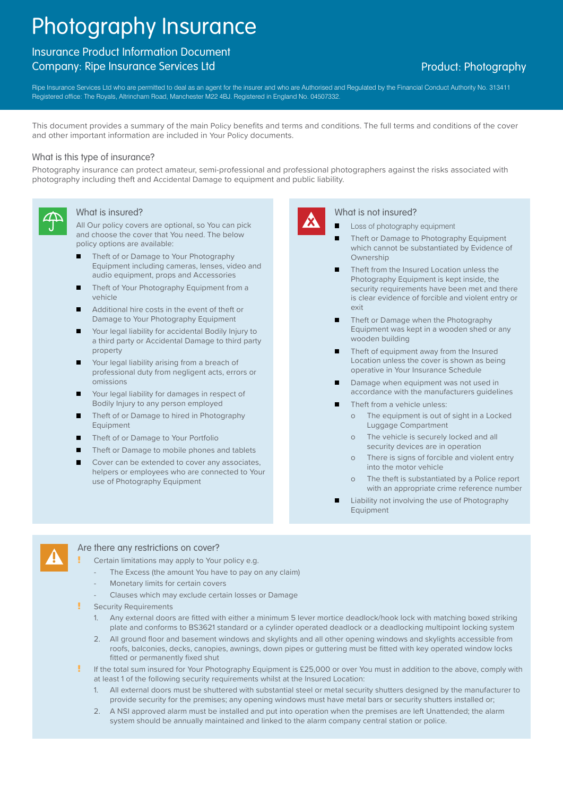# Photography Insurance

## Insurance Product Information Document Company: Ripe Insurance Services Ltd **Product: Photography** Company: Product: Photography

Ripe Insurance Services Ltd who are permitted to deal as an agent for the insurer and who are Authorised and Regulated by the Financial Conduct Authority No. 313411 Registered office: The Royals, Altrincham Road, Manchester M22 4BJ. Registered in England No. 04507332.

This document provides a summary of the main Policy benefits and terms and conditions. The full terms and conditions of the cover and other important information are included in Your Policy documents.

#### What is this type of insurance?

Photography insurance can protect amateur, semi-professional and professional photographers against the risks associated with photography including theft and Accidental Damage to equipment and public liability.



### What is insured?

All Our policy covers are optional, so You can pick and choose the cover that You need. The below policy options are available:

- Theft of or Damage to Your Photography Equipment including cameras, lenses, video and audio equipment, props and Accessories
- Theft of Your Photography Equipment from a vehicle
- **Additional hire costs in the event of theft or** Damage to Your Photography Equipment
- Your legal liability for accidental Bodily Injury to a third party or Accidental Damage to third party property
- Your legal liability arising from a breach of professional duty from negligent acts, errors or omissions
- Your legal liability for damages in respect of Bodily Injury to any person employed
- Theft of or Damage to hired in Photography **Equipment**
- Theft of or Damage to Your Portfolio
- Theft or Damage to mobile phones and tablets
- Cover can be extended to cover any associates, helpers or employees who are connected to Your use of Photography Equipment



#### What is not insured?

Loss of photography equipment

- Theft or Damage to Photography Equipment which cannot be substantiated by Evidence of **Ownership**
- Theft from the Insured Location unless the Photography Equipment is kept inside, the security requirements have been met and there is clear evidence of forcible and violent entry or exit
- Theft or Damage when the Photography Equipment was kept in a wooden shed or any wooden building
- Theft of equipment away from the Insured Location unless the cover is shown as being operative in Your Insurance Schedule
- Damage when equipment was not used in accordance with the manufacturers guidelines
- Theft from a vehicle unless:
	- o The equipment is out of sight in a Locked Luggage Compartment
	- o The vehicle is securely locked and all security devices are in operation
	- o There is signs of forcible and violent entry into the motor vehicle
	- o The theft is substantiated by a Police report with an appropriate crime reference number
- Liability not involving the use of Photography Equipment



#### Are there any restrictions on cover?

Certain limitations may apply to Your policy e.g.

- The Excess (the amount You have to pay on any claim)
- Monetary limits for certain covers
- Clauses which may exclude certain losses or Damage
- **Security Requirements** 
	- 1. Any external doors are fitted with either a minimum 5 lever mortice deadlock/hook lock with matching boxed striking plate and conforms to BS3621 standard or a cylinder operated deadlock or a deadlocking multipoint locking system
	- 2. All ground floor and basement windows and skylights and all other opening windows and skylights accessible from roofs, balconies, decks, canopies, awnings, down pipes or guttering must be fitted with key operated window locks fitted or permanently fixed shut
- If the total sum insured for Your Photography Equipment is £25,000 or over You must in addition to the above, comply with at least 1 of the following security requirements whilst at the Insured Location:
	- 1. All external doors must be shuttered with substantial steel or metal security shutters designed by the manufacturer to provide security for the premises; any opening windows must have metal bars or security shutters installed or;
	- 2. A NSI approved alarm must be installed and put into operation when the premises are left Unattended; the alarm system should be annually maintained and linked to the alarm company central station or police.